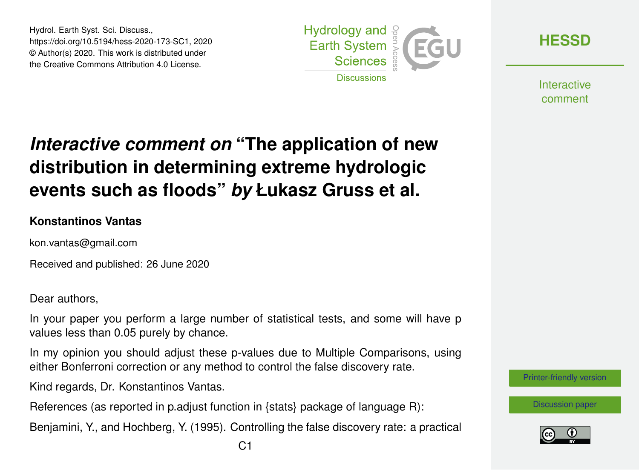Hydrol. Earth Syst. Sci. Discuss., https://doi.org/10.5194/hess-2020-173-SC1, 2020 © Author(s) 2020. This work is distributed under the Creative Commons Attribution 4.0 License.



**[HESSD](https://www.hydrol-earth-syst-sci-discuss.net/)**

**Interactive** comment

## *Interactive comment on* **"The application of new distribution in determining extreme hydrologic events such as floods"** *by* **Łukasz Gruss et al.**

## **Konstantinos Vantas**

kon.vantas@gmail.com

Received and published: 26 June 2020

Dear authors,

In your paper you perform a large number of statistical tests, and some will have p values less than 0.05 purely by chance.

In my opinion you should adjust these p-values due to Multiple Comparisons, using either Bonferroni correction or any method to control the false discovery rate.

Kind regards, Dr. Konstantinos Vantas.

References (as reported in p.adjust function in {stats} package of language R):

Benjamini, Y., and Hochberg, Y. (1995). Controlling the false discovery rate: a practical



[Discussion paper](https://www.hydrol-earth-syst-sci-discuss.net/hess-2020-173)